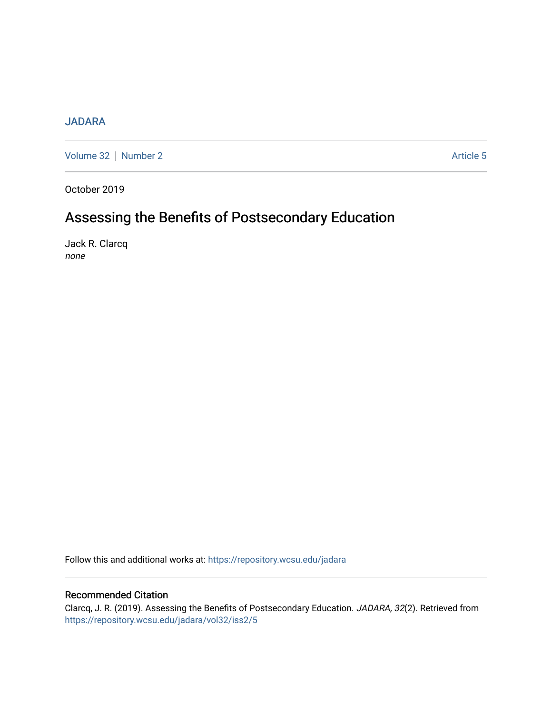# [JADARA](https://repository.wcsu.edu/jadara)

[Volume 32](https://repository.wcsu.edu/jadara/vol32) | [Number 2](https://repository.wcsu.edu/jadara/vol32/iss2) Article 5

October 2019

# Assessing the Benefits of Postsecondary Education

Jack R. Clarcq none

Follow this and additional works at: [https://repository.wcsu.edu/jadara](https://repository.wcsu.edu/jadara?utm_source=repository.wcsu.edu%2Fjadara%2Fvol32%2Fiss2%2F5&utm_medium=PDF&utm_campaign=PDFCoverPages)

## Recommended Citation

Clarcq, J. R. (2019). Assessing the Benefits of Postsecondary Education. JADARA, 32(2). Retrieved from [https://repository.wcsu.edu/jadara/vol32/iss2/5](https://repository.wcsu.edu/jadara/vol32/iss2/5?utm_source=repository.wcsu.edu%2Fjadara%2Fvol32%2Fiss2%2F5&utm_medium=PDF&utm_campaign=PDFCoverPages)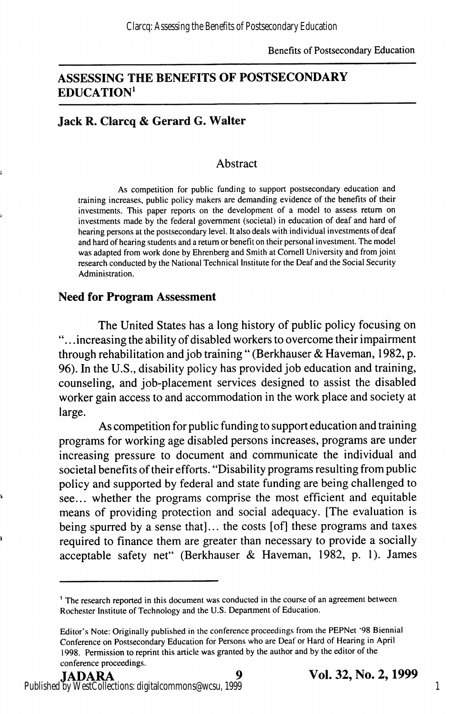### ASSESSING THE BENEFITS OF POSTSECONDARY EDUCATION'

### Jack R. Clarcq & Gerard G. Walter

### **Abstract**

As competition for public funding to support postsecondary education and training increases, public policy makers are demanding evidence of the benefits of their investments. This paper reports on the development of a model to assess return on investments made by the federal government (societal) in education of deaf and hard of hearing persons at the postsecondary level. It also deals with individual investments of deaf and hard of hearing students and a return or benefit on their personal investment. The model was adapted from work done by Ehrenberg and Smith at Cornell University and from joint research conducted by the National Technical Institute for the Deaf and the Social Security Administration.

### Need for Program Assessment

The United States has a long history of public policy focusing on . .increasing the ability of disabled workers to overcome their impairment through rehabilitation and job training " (Berkhauser & Haveman, 1982, p. 96). In the U.S., disability policy has provided job education and training, counseling, and job-placement services designed to assist the disabled worker gain access to and accommodation in the work place and society at large.

As competition for public funding to support education and training programs for working age disabled persons increases, programs are under increasing pressure to document and communicate the individual and societal benefits of their efforts. "Disability programs resulting from public policy and supported by federal and state funding are being challenged to see... whether the programs comprise the most efficient and equitable means of providing protection and social adequacy. [The evaluation is being spurred by a sense that]... the costs [of] these programs and taxes required to finance them are greater than necessary to provide a socially acceptable safety net" (Berkhauser & Haveman, 1982, p. 1). James

<sup>&</sup>lt;sup>1</sup> The research reported in this document was conducted in the course of an agreement between Rochester Institute of Technology and the U.S. Department of Education.

Editor's Note: Originally published in the conference proceedings from the PEPNet '98 Biennial Conference on Postsecondary Education for Persons who are Deat or Hard of Hearing in April 1998. Permission to reprint this article was granted by the author and by the editor of the conference proceedings.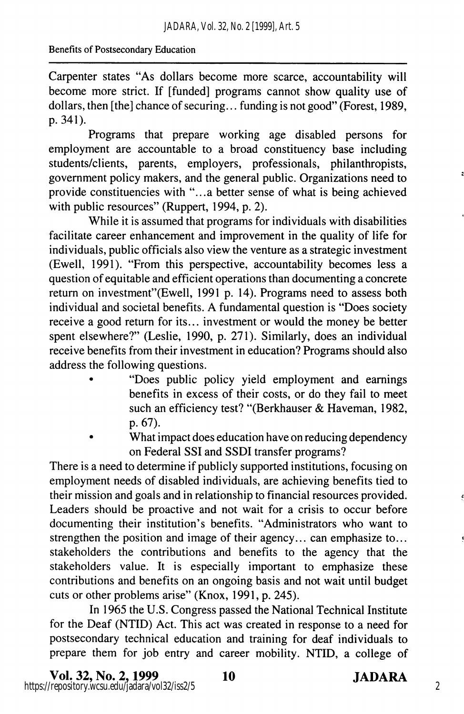Carpenter states "As dollars become more scarce, accountability will become more strict. If [funded] programs cannot show quality use of dollars, then [the] chance of securing... funding is not good" (Forest, 1989, p. 341).

Programs that prepare working age disabled persons for employment are accountable to a broad constituency base including students/clients, parents, employers, professionals, philanthropists, government policy makers, and the general public. Organizations need to provide constituencies with "...a better sense of what is being achieved with public resources" (Ruppert, 1994, p. 2).

While it is assumed that programs for individuals with disabilities facilitate career enhancement and improvement in the quality of life for individuals, public officials also view the venture as a strategic investment (Ewell, 1991). "From this perspective, accountability becomes less a question of equitable and efficient operations than documenting a concrete return on investment"(Ewell, 1991 p. 14). Programs need to assess both individual and societal benefits. A fundamental question is "Does society receive a good return for its... investment or would the money be better spent elsewhere?" (Leslie, 1990, p. 271). Similarly, does an individual receive benefits from their investment in education? Programs should also address the following questions.

- "Does public policy yield employment and earnings benefits in excess of their costs, or do they fail to meet such an efficiency test? "(Berkhauser & Haveman, 1982, p. 67).
- What impact does education have on reducing dependency on Federal SSI and SSDI transfer programs?

There is a need to determine if publicly supported institutions, focusing on employment needs of disabled individuals, are achieving benefits tied to their mission and goals and in relationship to financial resources provided. Leaders should be proactive and not wait for a crisis to occur before documenting their institution's benefits. "Administrators who want to strengthen the position and image of their agency... can emphasize to... stakeholders the contributions and benefits to the agency that the stakeholders value. It is especially important to emphasize these contributions and benefits on an ongoing basis and not wait until budget cuts or other problems arise" (Knox, 1991, p. 245).

In 1965 the U.S. Congress passed the National Technical Institute for the Deaf (NTID) Act. This act was created in response to a need for postsecondary technical education and training for deaf individuals to prepare them for job entry and career mobility. NTID, a college of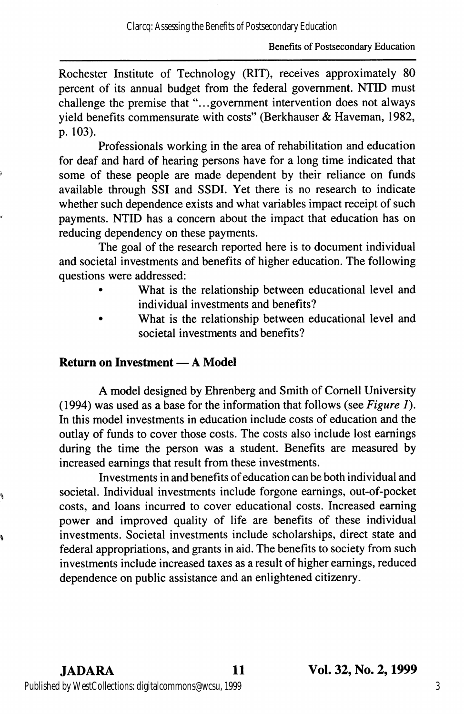Rochester Institute of Technology (RIT), receives approximately 80 percent of its annual budget from the federal government. NTID must challenge the premise that "...government intervention does not always yield benefits commensurate with costs" (Berkhauser & Haveman, 1982, p. 103).

Professionals working in the area of rehabilitation and education for deaf and hard of hearing persons have for a long time indicated that some of these people are made dependent by their reliance on funds available through SSI and SSDI. Yet there is no research to indicate whether such dependence exists and what variables impact receipt of such payments. NTID has a concern about the impact that education has on reducing dependency on these payments.

The goal of the research reported here is to document individual and societal investments and benefits of higher education. The following questions were addressed:

- What is the relationship between educational level and individual investments and benefits?
- What is the relationship between educational level and societal investments and benefits?

### Return on Investment — A Model

A model designed by Ehrenberg and Smith of Cornell University (1994) was used as a base for the information that follows (see Figure 1). In this model investments in education include costs of education and the outlay of funds to cover those costs. The costs also include lost earnings during the time the person was a student. Benefits are measured by increased earnings that result from these investments.

Investments in and benefits of education can be both individual and societal. Individual investments include forgone earnings, out-of-pocket costs, and loans incurred to cover educational costs. Increased earning power and improved quality of life are benefits of these individual investments. Societal investments include scholarships, direct state and federal appropriations, and grants in aid. The benefits to society from such investments include increased taxes as a result of higher earnings, reduced dependence on public assistance and an enlightened citizenry.

ą.

Ŋ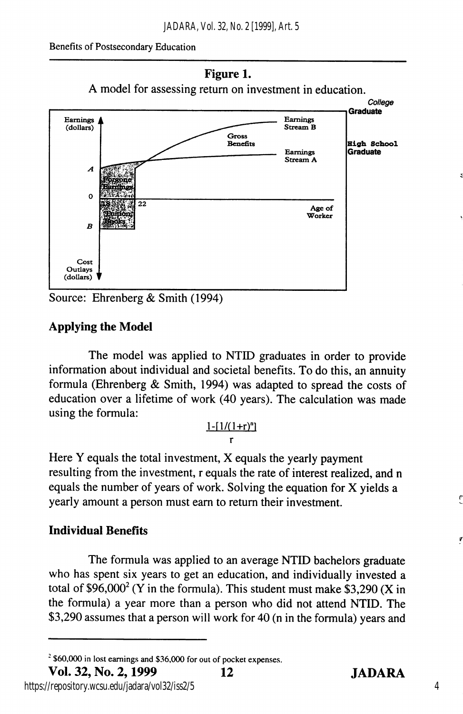

Source: Ehrenberg & Smith (1994)

# Applying the Model

The model was applied to NTID graduates in order to provide information about individual and societal benefits. To do this, an annuity formula (Ehrenberg & Smith, 1994) was adapted to spread the costs of education over a lifetime of work (40 years). The calculation was made using the formula:

#### $1-[1/(1+r)^n]$ r

Here Y equals the total investment, X equals the yearly payment resulting from the investment, r equals the rate of interest realized, and n equals the number of years of work. Solving the equation for X yields a yearly amount a person must earn to return their investment.

# Individual Benefits

The formula was applied to an average NTID bachelors graduate who has spent six years to get an education, and individually invested a total of  $$96,000^2$  (Y in the formula). This student must make \$3,290 (X in the formula) a year more than a person who did not attend NTID. The \$3,290 assumes that a person will work for 40 (n in the formula) years and

https://repository.wcsu.edu/jadara/vol32/iss2/5

F

7

 $^{2}$  \$60,000 in lost earnings and \$36,000 for out of pocket expenses.<br>**Vol. 32. No. 2. 1999** 12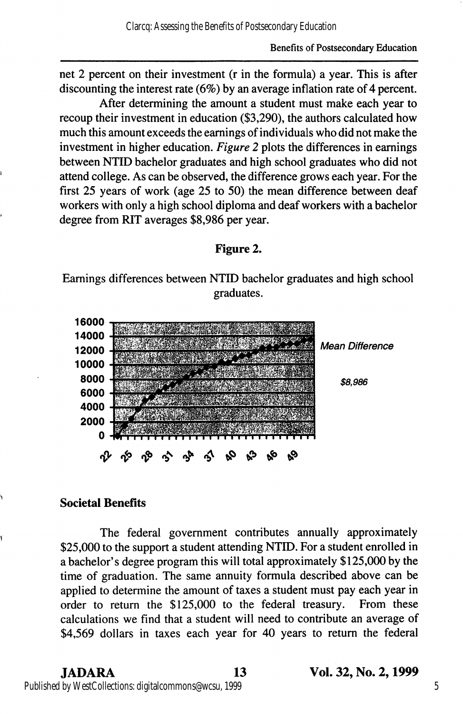net 2 percent on their investment (r in the formula) a year. This is after discounting the interest rate (6%) by an average inflation rate of 4 percent.

After determining the amount a student must make each year to recoup their investment in education (\$3,290), the authors calculated how much this amount exceeds the earnings of individuals who did not make the investment in higher education. Figure 2 plots the differences in earnings between NTID bachelor graduates and high school graduates who did not attend college. As can be observed, the difference grows each year. For the first 25 years of work (age 25 to 50) the mean difference between deaf workers with only a high school diploma and deaf workers with a bachelor degree from RIT averages \$8,986 per year.

### Figure 2.

Earnings differences between NTID bachelor graduates and high school graduates.



### Societal Benefits

The federal government contributes annually approximately \$25,000 to the support a student attending NTID. For a student enrolled in a bachelor's degree program this will total approximately \$125,000 by the time of graduation. The same annuity formula described above can be applied to determine the amount of taxes a student must pay each year in order to return the \$125,000 to the federal treasury. From these calculations we find that a student will need to contribute an average of \$4,569 dollars in taxes each year for 40 years to return the federal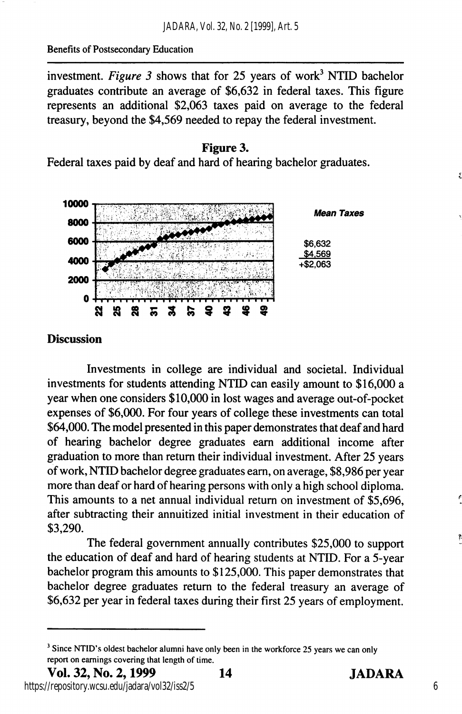investment. Figure 3 shows that for 25 years of work<sup>3</sup> NTID bachelor graduates contribute an average of \$6,632 in federal taxes. This figure represents an additional \$2,063 taxes paid on average to the federal treasury, beyond the \$4,569 needed to repay the federal investment.





### **Discussion**

Investments in college are individual and societal. Individual investments for students attending NTID can easily amount to \$16,000 a year when one considers \$10,000 in lost wages and average out-of-pocket expenses of \$6,000. For four years of college these investments can total \$64,000. The model presented in this paper demonstrates that deaf and hard of hearing bachelor degree graduates earn additional income after graduation to more than return their individual investment. After 25 years of work, NTID bachelor degree graduates earn, on average, \$8,986 per year more than deaf or hard of hearing persons with only a high school diploma. This amounts to a net annual individual return on investment of \$5,696, after subtracting their annuitized initial investment in their education of \$3,290.

The federal government annually contributes \$25,000 to support the education of deaf and hard of hearing students at NTID. For a 5-year bachelor program this amounts to \$125,000. This paper demonstrates that bachelor degree graduates return to the federal treasury an average of \$6,632 per year in federal taxes during their first 25 years of employment.

6

 $3$  Since NTID's oldest bachelor alumni have only been in the workforce 25 years we can only report on earnings covering that length of time.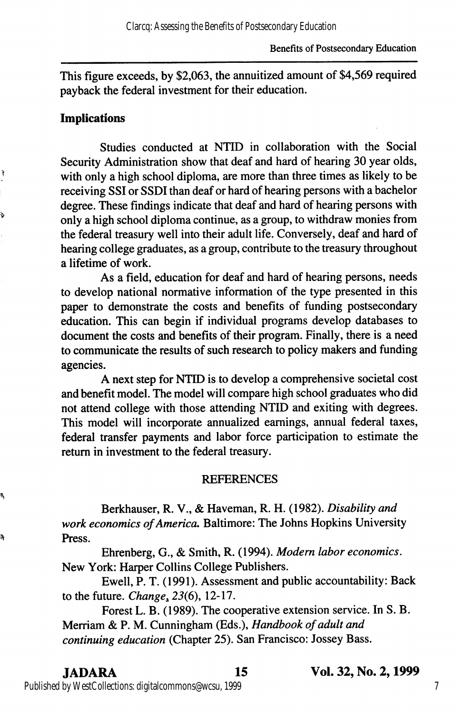This figure exceeds, by \$2,063, the annuitized amount of \$4,569 required payback the federal investment for their education.

### Implications

ì

Þ

ą,

a,

Studies conducted at NTID in collaboration with the Social Security Administration show that deaf and hard of hearing 30 year olds, with only a high school diploma, are more than three times as likely to be receiving SSI or SSDI than deaf or hard of hearing persons with a bachelor degree. These findings indicate that deaf and hard of hearing persons with only a high school diploma continue, as a group, to withdraw monies from the federal treasury well into their adult life. Conversely, deaf and hard of hearing college graduates, as a group, contribute to the treasury throughout a lifetime of work.

As a field, education for deaf and hard of hearing persons, needs to develop national normative information of the type presented in this paper to demonstrate the costs and benefits of funding postsecondary education. This can begin if individual programs develop databases to document the costs and benefits of their program. Finally, there is a need to communicate the results of such research to policy makers and funding agencies.

A next step for NTID is to develop a comprehensive societal cost and benefit model. The model will compare high school graduates who did not attend college with those attending NTID and exiting with degrees. This model will incorporate annualized earnings, annual federal taxes, federal transfer payments and labor force participation to estimate the return in investment to the federal treasury.

#### **REFERENCES**

Berkhauser, R. V., & Haveman, R. H. (1982). Disability and work economics of America. Baltimore: The Johns Hopkins University Press.

Ehrenberg, G., & Smith, R. (1994). Modem labor economics. New York: Harper Collins College Publishers.

Ewell, P. T. (1991). Assessment and public accountability: Back to the future. Change,  $23(6)$ , 12-17.

Forest L. B. (1989). The cooperative extension service. In S. B. Merriam & P. M. Cunningham (Eds.), Handbook of adult and continuing education (Chapter 25). San Francisco: Jossey Bass.

Published by WestCollections: digitalcommons@wcsu, 1999

JADARA 15 Vol. 32, No. 2,1999